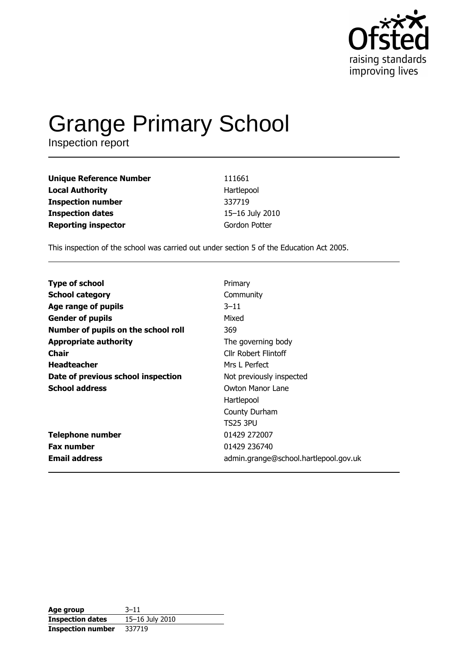

# Grange Primary School

| <b>Unique Reference Number</b> | 111661          |
|--------------------------------|-----------------|
| <b>Local Authority</b>         | Hartlepool      |
| <b>Inspection number</b>       | 337719          |
| <b>Inspection dates</b>        | 15-16 July 2010 |
| <b>Reporting inspector</b>     | Gordon Potter   |

This inspection of the school was carried out under section 5 of the Education Act 2005.

| <b>Type of school</b>               | Primary                               |
|-------------------------------------|---------------------------------------|
| <b>School category</b>              | Community                             |
| Age range of pupils                 | $3 - 11$                              |
| <b>Gender of pupils</b>             | Mixed                                 |
| Number of pupils on the school roll | 369                                   |
| <b>Appropriate authority</b>        | The governing body                    |
| Chair                               | Cllr Robert Flintoff                  |
| <b>Headteacher</b>                  | Mrs L Perfect                         |
| Date of previous school inspection  | Not previously inspected              |
| <b>School address</b>               | Owton Manor Lane                      |
|                                     | Hartlepool                            |
|                                     | County Durham                         |
|                                     | TS25 3PU                              |
| <b>Telephone number</b>             | 01429 272007                          |
| <b>Fax number</b>                   | 01429 236740                          |
| <b>Email address</b>                | admin.grange@school.hartlepool.gov.uk |

| Age group                | $3 - 11$        |
|--------------------------|-----------------|
| <b>Inspection dates</b>  | 15-16 July 2010 |
| <b>Inspection number</b> | 337719          |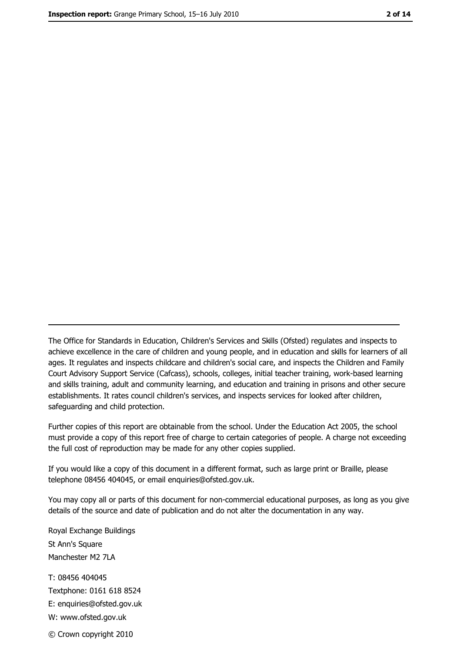The Office for Standards in Education, Children's Services and Skills (Ofsted) regulates and inspects to achieve excellence in the care of children and young people, and in education and skills for learners of all ages. It regulates and inspects childcare and children's social care, and inspects the Children and Family Court Advisory Support Service (Cafcass), schools, colleges, initial teacher training, work-based learning and skills training, adult and community learning, and education and training in prisons and other secure establishments. It rates council children's services, and inspects services for looked after children, safequarding and child protection.

Further copies of this report are obtainable from the school. Under the Education Act 2005, the school must provide a copy of this report free of charge to certain categories of people. A charge not exceeding the full cost of reproduction may be made for any other copies supplied.

If you would like a copy of this document in a different format, such as large print or Braille, please telephone 08456 404045, or email enquiries@ofsted.gov.uk.

You may copy all or parts of this document for non-commercial educational purposes, as long as you give details of the source and date of publication and do not alter the documentation in any way.

Royal Exchange Buildings St Ann's Square Manchester M2 7LA T: 08456 404045 Textphone: 0161 618 8524 E: enquiries@ofsted.gov.uk W: www.ofsted.gov.uk © Crown copyright 2010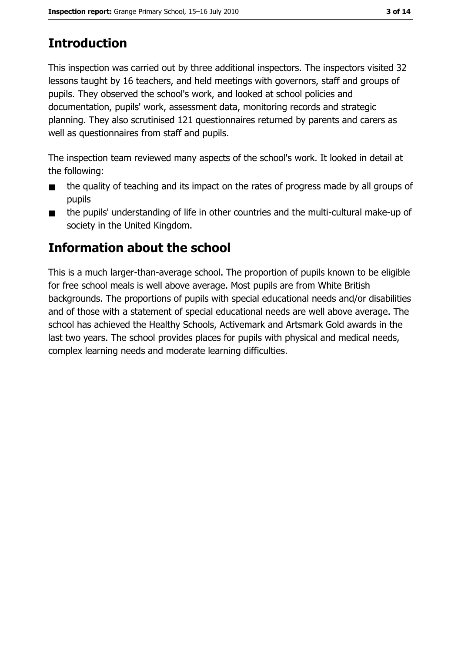# **Introduction**

This inspection was carried out by three additional inspectors. The inspectors visited 32 lessons taught by 16 teachers, and held meetings with governors, staff and groups of pupils. They observed the school's work, and looked at school policies and documentation, pupils' work, assessment data, monitoring records and strategic planning. They also scrutinised 121 questionnaires returned by parents and carers as well as questionnaires from staff and pupils.

The inspection team reviewed many aspects of the school's work. It looked in detail at the following:

- the quality of teaching and its impact on the rates of progress made by all groups of  $\blacksquare$ pupils
- the pupils' understanding of life in other countries and the multi-cultural make-up of  $\blacksquare$ society in the United Kingdom.

## Information about the school

This is a much larger-than-average school. The proportion of pupils known to be eligible for free school meals is well above average. Most pupils are from White British backgrounds. The proportions of pupils with special educational needs and/or disabilities and of those with a statement of special educational needs are well above average. The school has achieved the Healthy Schools, Activemark and Artsmark Gold awards in the last two years. The school provides places for pupils with physical and medical needs, complex learning needs and moderate learning difficulties.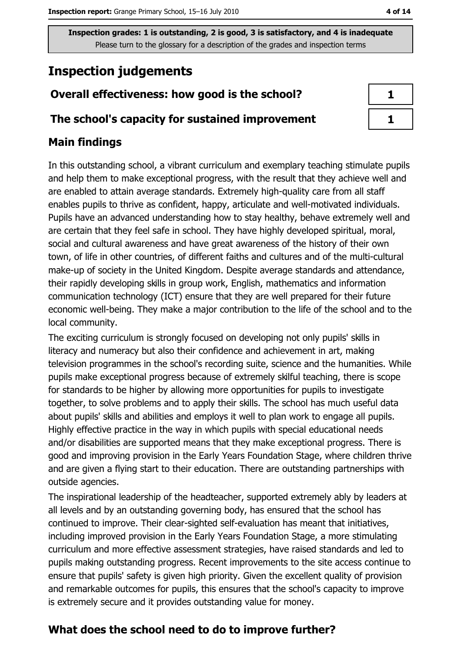## **Inspection judgements**

#### Overall effectiveness: how good is the school?

#### The school's capacity for sustained improvement

#### **Main findings**

In this outstanding school, a vibrant curriculum and exemplary teaching stimulate pupils and help them to make exceptional progress, with the result that they achieve well and are enabled to attain average standards. Extremely high-quality care from all staff enables pupils to thrive as confident, happy, articulate and well-motivated individuals. Pupils have an advanced understanding how to stay healthy, behave extremely well and are certain that they feel safe in school. They have highly developed spiritual, moral, social and cultural awareness and have great awareness of the history of their own town, of life in other countries, of different faiths and cultures and of the multi-cultural make-up of society in the United Kingdom. Despite average standards and attendance, their rapidly developing skills in group work, English, mathematics and information communication technology (ICT) ensure that they are well prepared for their future economic well-being. They make a major contribution to the life of the school and to the local community.

The exciting curriculum is strongly focused on developing not only pupils' skills in literacy and numeracy but also their confidence and achievement in art, making television programmes in the school's recording suite, science and the humanities. While pupils make exceptional progress because of extremely skilful teaching, there is scope for standards to be higher by allowing more opportunities for pupils to investigate together, to solve problems and to apply their skills. The school has much useful data about pupils' skills and abilities and employs it well to plan work to engage all pupils. Highly effective practice in the way in which pupils with special educational needs and/or disabilities are supported means that they make exceptional progress. There is good and improving provision in the Early Years Foundation Stage, where children thrive and are given a flying start to their education. There are outstanding partnerships with outside agencies.

The inspirational leadership of the headteacher, supported extremely ably by leaders at all levels and by an outstanding governing body, has ensured that the school has continued to improve. Their clear-sighted self-evaluation has meant that initiatives, including improved provision in the Early Years Foundation Stage, a more stimulating curriculum and more effective assessment strategies, have raised standards and led to pupils making outstanding progress. Recent improvements to the site access continue to ensure that pupils' safety is given high priority. Given the excellent quality of provision and remarkable outcomes for pupils, this ensures that the school's capacity to improve is extremely secure and it provides outstanding value for money.

### What does the school need to do to improve further?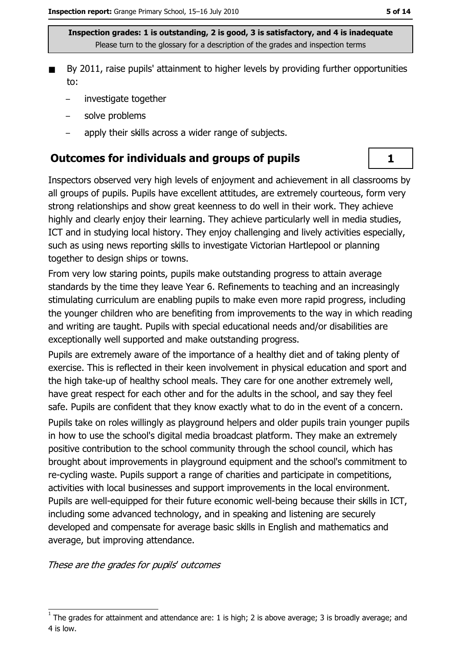- By 2011, raise pupils' attainment to higher levels by providing further opportunities to:
	- investigate together  $\equiv$
	- solve problems
	- apply their skills across a wider range of subjects.

#### **Outcomes for individuals and groups of pupils**

Inspectors observed very high levels of enjoyment and achievement in all classrooms by all groups of pupils. Pupils have excellent attitudes, are extremely courteous, form very strong relationships and show great keenness to do well in their work. They achieve highly and clearly enjoy their learning. They achieve particularly well in media studies, ICT and in studying local history. They enjoy challenging and lively activities especially, such as using news reporting skills to investigate Victorian Hartlepool or planning together to design ships or towns.

From very low staring points, pupils make outstanding progress to attain average standards by the time they leave Year 6. Refinements to teaching and an increasingly stimulating curriculum are enabling pupils to make even more rapid progress, including the younger children who are benefiting from improvements to the way in which reading and writing are taught. Pupils with special educational needs and/or disabilities are exceptionally well supported and make outstanding progress.

Pupils are extremely aware of the importance of a healthy diet and of taking plenty of exercise. This is reflected in their keen involvement in physical education and sport and the high take-up of healthy school meals. They care for one another extremely well, have great respect for each other and for the adults in the school, and say they feel safe. Pupils are confident that they know exactly what to do in the event of a concern. Pupils take on roles willingly as playground helpers and older pupils train younger pupils in how to use the school's digital media broadcast platform. They make an extremely positive contribution to the school community through the school council, which has brought about improvements in playground equipment and the school's commitment to re-cycling waste. Pupils support a range of charities and participate in competitions, activities with local businesses and support improvements in the local environment. Pupils are well-equipped for their future economic well-being because their skills in ICT, including some advanced technology, and in speaking and listening are securely developed and compensate for average basic skills in English and mathematics and average, but improving attendance.

These are the grades for pupils' outcomes

 $\mathbf{1}$ 

The grades for attainment and attendance are: 1 is high; 2 is above average; 3 is broadly average; and 4 is low.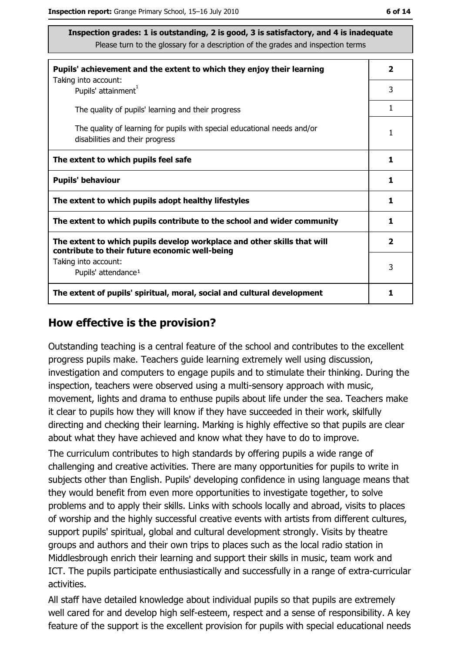| Pupils' achievement and the extent to which they enjoy their learning                                                     | $\overline{\mathbf{2}}$ |
|---------------------------------------------------------------------------------------------------------------------------|-------------------------|
| Taking into account:<br>Pupils' attainment <sup>1</sup>                                                                   | 3                       |
| The quality of pupils' learning and their progress                                                                        | 1                       |
| The quality of learning for pupils with special educational needs and/or<br>disabilities and their progress               | 1                       |
| The extent to which pupils feel safe                                                                                      | 1                       |
| <b>Pupils' behaviour</b>                                                                                                  | 1                       |
| The extent to which pupils adopt healthy lifestyles                                                                       | 1                       |
| The extent to which pupils contribute to the school and wider community                                                   |                         |
| The extent to which pupils develop workplace and other skills that will<br>contribute to their future economic well-being | $\overline{\mathbf{2}}$ |
| Taking into account:                                                                                                      | 3                       |
| Pupils' attendance <sup>1</sup>                                                                                           |                         |
| The extent of pupils' spiritual, moral, social and cultural development                                                   | 1                       |

#### How effective is the provision?

Outstanding teaching is a central feature of the school and contributes to the excellent progress pupils make. Teachers guide learning extremely well using discussion, investigation and computers to engage pupils and to stimulate their thinking. During the inspection, teachers were observed using a multi-sensory approach with music, movement, lights and drama to enthuse pupils about life under the sea. Teachers make it clear to pupils how they will know if they have succeeded in their work, skilfully directing and checking their learning. Marking is highly effective so that pupils are clear about what they have achieved and know what they have to do to improve.

The curriculum contributes to high standards by offering pupils a wide range of challenging and creative activities. There are many opportunities for pupils to write in subjects other than English, Pupils' developing confidence in using language means that they would benefit from even more opportunities to investigate together, to solve problems and to apply their skills. Links with schools locally and abroad, visits to places of worship and the highly successful creative events with artists from different cultures, support pupils' spiritual, global and cultural development strongly. Visits by theatre groups and authors and their own trips to places such as the local radio station in Middlesbrough enrich their learning and support their skills in music, team work and ICT. The pupils participate enthusiastically and successfully in a range of extra-curricular activities.

All staff have detailed knowledge about individual pupils so that pupils are extremely well cared for and develop high self-esteem, respect and a sense of responsibility. A key feature of the support is the excellent provision for pupils with special educational needs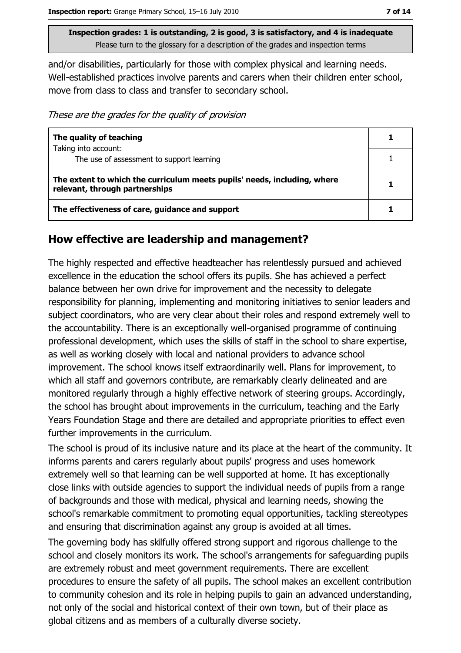and/or disabilities, particularly for those with complex physical and learning needs. Well-established practices involve parents and carers when their children enter school, move from class to class and transfer to secondary school.

These are the grades for the quality of provision

| The quality of teaching                                                                                    |  |
|------------------------------------------------------------------------------------------------------------|--|
| Taking into account:<br>The use of assessment to support learning                                          |  |
| The extent to which the curriculum meets pupils' needs, including, where<br>relevant, through partnerships |  |
| The effectiveness of care, guidance and support                                                            |  |

#### How effective are leadership and management?

The highly respected and effective headteacher has relentlessly pursued and achieved excellence in the education the school offers its pupils. She has achieved a perfect balance between her own drive for improvement and the necessity to delegate responsibility for planning, implementing and monitoring initiatives to senior leaders and subject coordinators, who are very clear about their roles and respond extremely well to the accountability. There is an exceptionally well-organised programme of continuing professional development, which uses the skills of staff in the school to share expertise, as well as working closely with local and national providers to advance school improvement. The school knows itself extraordinarily well. Plans for improvement, to which all staff and governors contribute, are remarkably clearly delineated and are monitored regularly through a highly effective network of steering groups. Accordingly, the school has brought about improvements in the curriculum, teaching and the Early Years Foundation Stage and there are detailed and appropriate priorities to effect even further improvements in the curriculum.

The school is proud of its inclusive nature and its place at the heart of the community. It informs parents and carers regularly about pupils' progress and uses homework extremely well so that learning can be well supported at home. It has exceptionally close links with outside agencies to support the individual needs of pupils from a range of backgrounds and those with medical, physical and learning needs, showing the school's remarkable commitment to promoting equal opportunities, tackling stereotypes and ensuring that discrimination against any group is avoided at all times.

The governing body has skilfully offered strong support and rigorous challenge to the school and closely monitors its work. The school's arrangements for safeguarding pupils are extremely robust and meet government requirements. There are excellent procedures to ensure the safety of all pupils. The school makes an excellent contribution to community cohesion and its role in helping pupils to gain an advanced understanding, not only of the social and historical context of their own town, but of their place as global citizens and as members of a culturally diverse society.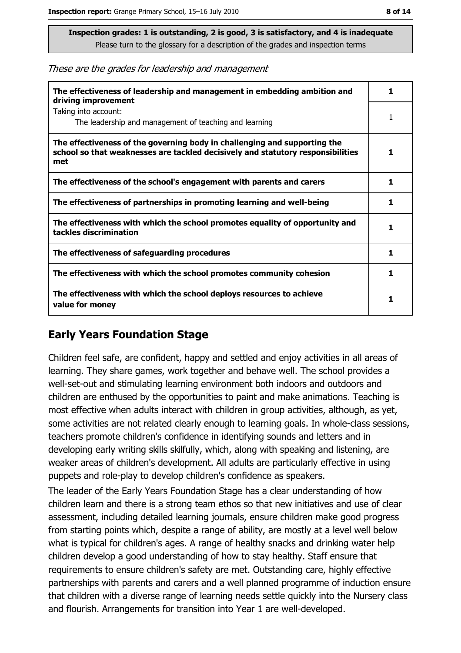These are the grades for leadership and management

| The effectiveness of leadership and management in embedding ambition and<br>driving improvement                                                                     | ı  |
|---------------------------------------------------------------------------------------------------------------------------------------------------------------------|----|
| Taking into account:<br>The leadership and management of teaching and learning                                                                                      |    |
| The effectiveness of the governing body in challenging and supporting the<br>school so that weaknesses are tackled decisively and statutory responsibilities<br>met |    |
| The effectiveness of the school's engagement with parents and carers                                                                                                | 1. |
| The effectiveness of partnerships in promoting learning and well-being                                                                                              | 1  |
| The effectiveness with which the school promotes equality of opportunity and<br>tackles discrimination                                                              |    |
| The effectiveness of safeguarding procedures                                                                                                                        | 1  |
| The effectiveness with which the school promotes community cohesion                                                                                                 | 1  |
| The effectiveness with which the school deploys resources to achieve<br>value for money                                                                             |    |

#### **Early Years Foundation Stage**

Children feel safe, are confident, happy and settled and enjoy activities in all areas of learning. They share games, work together and behave well. The school provides a well-set-out and stimulating learning environment both indoors and outdoors and children are enthused by the opportunities to paint and make animations. Teaching is most effective when adults interact with children in group activities, although, as yet, some activities are not related clearly enough to learning goals. In whole-class sessions, teachers promote children's confidence in identifying sounds and letters and in developing early writing skills skilfully, which, along with speaking and listening, are weaker areas of children's development. All adults are particularly effective in using puppets and role-play to develop children's confidence as speakers.

The leader of the Early Years Foundation Stage has a clear understanding of how children learn and there is a strong team ethos so that new initiatives and use of clear assessment, including detailed learning journals, ensure children make good progress from starting points which, despite a range of ability, are mostly at a level well below what is typical for children's ages. A range of healthy snacks and drinking water help children develop a good understanding of how to stay healthy. Staff ensure that requirements to ensure children's safety are met. Outstanding care, highly effective partnerships with parents and carers and a well planned programme of induction ensure that children with a diverse range of learning needs settle quickly into the Nursery class and flourish. Arrangements for transition into Year 1 are well-developed.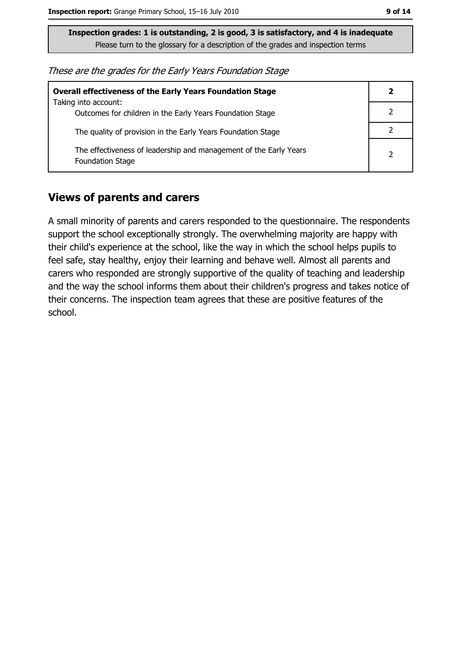These are the grades for the Early Years Foundation Stage

| <b>Overall effectiveness of the Early Years Foundation Stage</b>                             |   |
|----------------------------------------------------------------------------------------------|---|
| Taking into account:<br>Outcomes for children in the Early Years Foundation Stage            |   |
| The quality of provision in the Early Years Foundation Stage                                 |   |
| The effectiveness of leadership and management of the Early Years<br><b>Foundation Stage</b> | 2 |

#### **Views of parents and carers**

A small minority of parents and carers responded to the questionnaire. The respondents support the school exceptionally strongly. The overwhelming majority are happy with their child's experience at the school, like the way in which the school helps pupils to feel safe, stay healthy, enjoy their learning and behave well. Almost all parents and carers who responded are strongly supportive of the quality of teaching and leadership and the way the school informs them about their children's progress and takes notice of their concerns. The inspection team agrees that these are positive features of the school.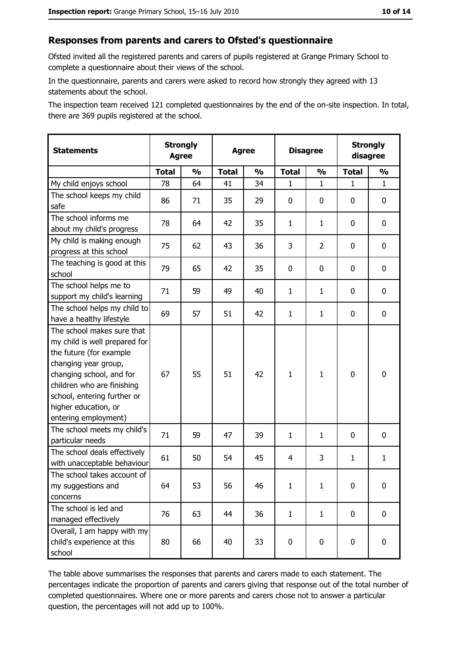#### Responses from parents and carers to Ofsted's questionnaire

Ofsted invited all the registered parents and carers of pupils registered at Grange Primary School to complete a questionnaire about their views of the school.

In the questionnaire, parents and carers were asked to record how strongly they agreed with 13 statements about the school.

The inspection team received 121 completed questionnaires by the end of the on-site inspection. In total, there are 369 pupils registered at the school.

| <b>Statements</b>                                                                                                                                                                                                                                       | <b>Strongly</b><br><b>Agree</b> |               | <b>Agree</b> |               | <b>Disagree</b> |                | <b>Strongly</b><br>disagree |               |
|---------------------------------------------------------------------------------------------------------------------------------------------------------------------------------------------------------------------------------------------------------|---------------------------------|---------------|--------------|---------------|-----------------|----------------|-----------------------------|---------------|
|                                                                                                                                                                                                                                                         | <b>Total</b>                    | $\frac{0}{0}$ | <b>Total</b> | $\frac{0}{0}$ | <b>Total</b>    | $\frac{0}{0}$  | <b>Total</b>                | $\frac{0}{0}$ |
| My child enjoys school                                                                                                                                                                                                                                  | 78                              | 64            | 41           | 34            | 1               | $\mathbf 1$    | $\mathbf{1}$                | $\mathbf{1}$  |
| The school keeps my child<br>safe                                                                                                                                                                                                                       | 86                              | 71            | 35           | 29            | 0               | 0              | 0                           | $\mathbf 0$   |
| The school informs me<br>about my child's progress                                                                                                                                                                                                      | 78                              | 64            | 42           | 35            | $\mathbf{1}$    | $\mathbf{1}$   | 0                           | $\mathbf 0$   |
| My child is making enough<br>progress at this school                                                                                                                                                                                                    | 75                              | 62            | 43           | 36            | 3               | $\overline{2}$ | 0                           | 0             |
| The teaching is good at this<br>school                                                                                                                                                                                                                  | 79                              | 65            | 42           | 35            | 0               | 0              | 0                           | $\mathbf 0$   |
| The school helps me to<br>support my child's learning                                                                                                                                                                                                   | 71                              | 59            | 49           | 40            | $\mathbf{1}$    | $\mathbf{1}$   | 0                           | 0             |
| The school helps my child to<br>have a healthy lifestyle                                                                                                                                                                                                | 69                              | 57            | 51           | 42            | $\mathbf{1}$    | $\mathbf{1}$   | 0                           | $\mathbf 0$   |
| The school makes sure that<br>my child is well prepared for<br>the future (for example<br>changing year group,<br>changing school, and for<br>children who are finishing<br>school, entering further or<br>higher education, or<br>entering employment) | 67                              | 55            | 51           | 42            | $\mathbf{1}$    | $\mathbf 1$    | $\mathbf 0$                 | $\mathbf 0$   |
| The school meets my child's<br>particular needs                                                                                                                                                                                                         | 71                              | 59            | 47           | 39            | $\mathbf{1}$    | $\mathbf{1}$   | 0                           | $\mathbf 0$   |
| The school deals effectively<br>with unacceptable behaviour                                                                                                                                                                                             | 61                              | 50            | 54           | 45            | $\overline{4}$  | 3              | 1                           | $\mathbf{1}$  |
| The school takes account of<br>my suggestions and<br>concerns                                                                                                                                                                                           | 64                              | 53            | 56           | 46            | $\mathbf{1}$    | $\mathbf{1}$   | 0                           | 0             |
| The school is led and<br>managed effectively                                                                                                                                                                                                            | 76                              | 63            | 44           | 36            | $\mathbf{1}$    | $\mathbf{1}$   | $\mathbf 0$                 | $\mathbf 0$   |
| Overall, I am happy with my<br>child's experience at this<br>school                                                                                                                                                                                     | 80                              | 66            | 40           | 33            | $\pmb{0}$       | 0              | $\mathbf 0$                 | $\mathbf 0$   |

The table above summarises the responses that parents and carers made to each statement. The percentages indicate the proportion of parents and carers giving that response out of the total number of completed questionnaires. Where one or more parents and carers chose not to answer a particular question, the percentages will not add up to 100%.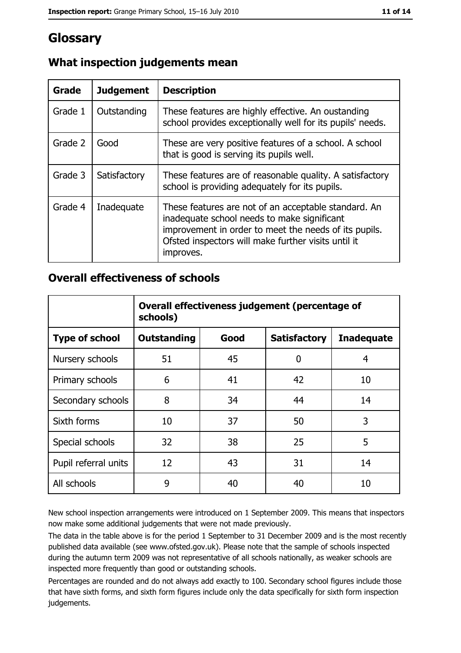## **Glossary**

| Grade   | <b>Judgement</b> | <b>Description</b>                                                                                                                                                                                                               |
|---------|------------------|----------------------------------------------------------------------------------------------------------------------------------------------------------------------------------------------------------------------------------|
| Grade 1 | Outstanding      | These features are highly effective. An oustanding<br>school provides exceptionally well for its pupils' needs.                                                                                                                  |
| Grade 2 | Good             | These are very positive features of a school. A school<br>that is good is serving its pupils well.                                                                                                                               |
| Grade 3 | Satisfactory     | These features are of reasonable quality. A satisfactory<br>school is providing adequately for its pupils.                                                                                                                       |
| Grade 4 | Inadequate       | These features are not of an acceptable standard. An<br>inadequate school needs to make significant<br>improvement in order to meet the needs of its pupils.<br>Ofsted inspectors will make further visits until it<br>improves. |

#### What inspection judgements mean

#### **Overall effectiveness of schools**

|                       | Overall effectiveness judgement (percentage of<br>schools) |      |                     |                   |
|-----------------------|------------------------------------------------------------|------|---------------------|-------------------|
| <b>Type of school</b> | <b>Outstanding</b>                                         | Good | <b>Satisfactory</b> | <b>Inadequate</b> |
| Nursery schools       | 51                                                         | 45   | 0                   | 4                 |
| Primary schools       | 6                                                          | 41   | 42                  | 10                |
| Secondary schools     | 8                                                          | 34   | 44                  | 14                |
| Sixth forms           | 10                                                         | 37   | 50                  | 3                 |
| Special schools       | 32                                                         | 38   | 25                  | 5                 |
| Pupil referral units  | 12                                                         | 43   | 31                  | 14                |
| All schools           | 9                                                          | 40   | 40                  | 10                |

New school inspection arrangements were introduced on 1 September 2009. This means that inspectors now make some additional judgements that were not made previously.

The data in the table above is for the period 1 September to 31 December 2009 and is the most recently published data available (see www.ofsted.gov.uk). Please note that the sample of schools inspected during the autumn term 2009 was not representative of all schools nationally, as weaker schools are inspected more frequently than good or outstanding schools.

Percentages are rounded and do not always add exactly to 100. Secondary school figures include those that have sixth forms, and sixth form figures include only the data specifically for sixth form inspection judgements.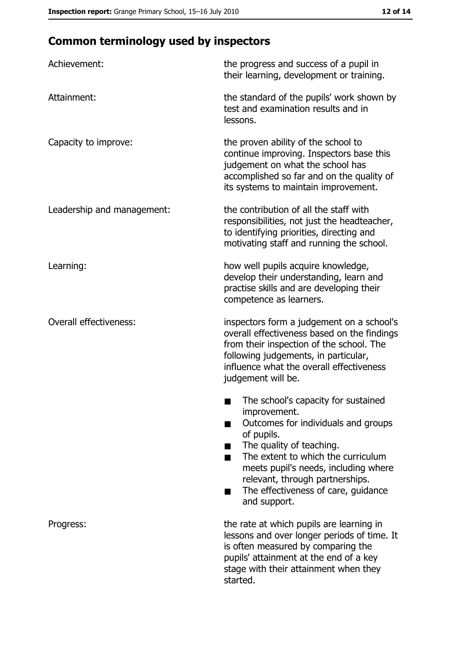## **Common terminology used by inspectors**

| Achievement:                  | the progress and success of a pupil in<br>their learning, development or training.                                                                                                                                                                                                                           |
|-------------------------------|--------------------------------------------------------------------------------------------------------------------------------------------------------------------------------------------------------------------------------------------------------------------------------------------------------------|
| Attainment:                   | the standard of the pupils' work shown by<br>test and examination results and in<br>lessons.                                                                                                                                                                                                                 |
| Capacity to improve:          | the proven ability of the school to<br>continue improving. Inspectors base this<br>judgement on what the school has<br>accomplished so far and on the quality of<br>its systems to maintain improvement.                                                                                                     |
| Leadership and management:    | the contribution of all the staff with<br>responsibilities, not just the headteacher,<br>to identifying priorities, directing and<br>motivating staff and running the school.                                                                                                                                |
| Learning:                     | how well pupils acquire knowledge,<br>develop their understanding, learn and<br>practise skills and are developing their<br>competence as learners.                                                                                                                                                          |
| <b>Overall effectiveness:</b> | inspectors form a judgement on a school's<br>overall effectiveness based on the findings<br>from their inspection of the school. The<br>following judgements, in particular,<br>influence what the overall effectiveness<br>judgement will be.                                                               |
|                               | The school's capacity for sustained<br>improvement.<br>Outcomes for individuals and groups<br>of pupils.<br>The quality of teaching.<br>The extent to which the curriculum<br>meets pupil's needs, including where<br>relevant, through partnerships.<br>The effectiveness of care, guidance<br>and support. |
| Progress:                     | the rate at which pupils are learning in<br>lessons and over longer periods of time. It<br>is often measured by comparing the<br>pupils' attainment at the end of a key<br>stage with their attainment when they<br>started.                                                                                 |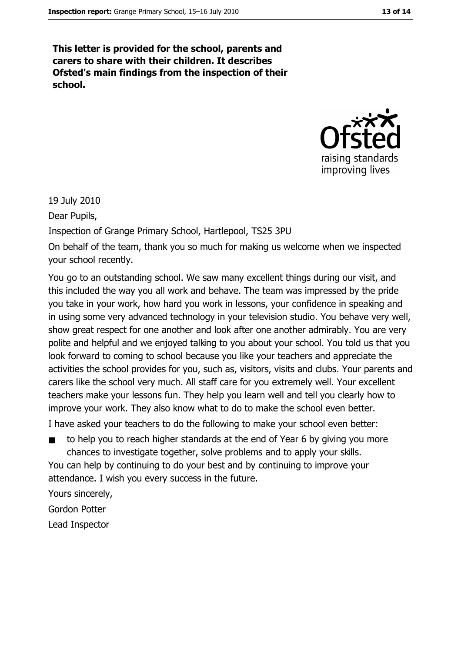This letter is provided for the school, parents and carers to share with their children. It describes Ofsted's main findings from the inspection of their school.



19 July 2010

Dear Pupils,

Inspection of Grange Primary School, Hartlepool, TS25 3PU

On behalf of the team, thank you so much for making us welcome when we inspected vour school recently.

You go to an outstanding school. We saw many excellent things during our visit, and this included the way you all work and behave. The team was impressed by the pride you take in your work, how hard you work in lessons, your confidence in speaking and in using some very advanced technology in your television studio. You behave very well, show great respect for one another and look after one another admirably. You are very polite and helpful and we enjoyed talking to you about your school. You told us that you look forward to coming to school because you like your teachers and appreciate the activities the school provides for you, such as, visitors, visits and clubs. Your parents and carers like the school very much. All staff care for you extremely well. Your excellent teachers make your lessons fun. They help you learn well and tell you clearly how to improve your work. They also know what to do to make the school even better.

I have asked your teachers to do the following to make your school even better:

to help you to reach higher standards at the end of Year 6 by giving you more chances to investigate together, solve problems and to apply your skills.

You can help by continuing to do your best and by continuing to improve your attendance. I wish you every success in the future.

Yours sincerely, Gordon Potter Lead Inspector